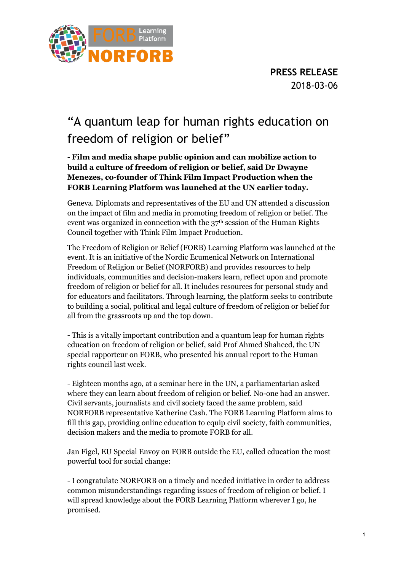

**PRESS RELEASE** 2018-03-06

## "A quantum leap for human rights education on freedom of religion or belief"

**- Film and media shape public opinion and can mobilize action to build a culture of freedom of religion or belief, said Dr Dwayne Menezes, co-founder of Think Film Impact Production when the FORB Learning Platform was launched at the UN earlier today.** 

Geneva. Diplomats and representatives of the EU and UN attended a discussion on the impact of film and media in promoting freedom of religion or belief. The event was organized in connection with the 37<sup>th</sup> session of the Human Rights Council together with Think Film Impact Production.

The Freedom of Religion or Belief (FORB) Learning Platform was launched at the event. It is an initiative of the Nordic Ecumenical Network on International Freedom of Religion or Belief (NORFORB) and provides resources to help individuals, communities and decision-makers learn, reflect upon and promote freedom of religion or belief for all. It includes resources for personal study and for educators and facilitators. Through learning, the platform seeks to contribute to building a social, political and legal culture of freedom of religion or belief for all from the grassroots up and the top down.

- This is a vitally important contribution and a quantum leap for human rights education on freedom of religion or belief, said Prof Ahmed Shaheed, the UN special rapporteur on FORB, who presented his annual report to the Human rights council last week.

- Eighteen months ago, at a seminar here in the UN, a parliamentarian asked where they can learn about freedom of religion or belief. No-one had an answer. Civil servants, journalists and civil society faced the same problem, said NORFORB representative Katherine Cash. The FORB Learning Platform aims to fill this gap, providing online education to equip civil society, faith communities, decision makers and the media to promote FORB for all.

Jan Figel, EU Special Envoy on FORB outside the EU, called education the most powerful tool for social change:

- I congratulate NORFORB on a timely and needed initiative in order to address common misunderstandings regarding issues of freedom of religion or belief. I will spread knowledge about the FORB Learning Platform wherever I go, he promised.